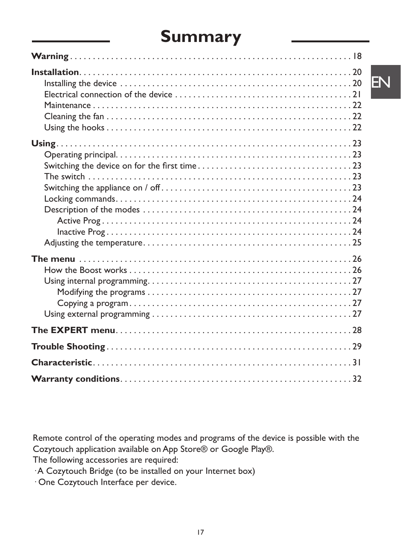## **Summary**

EN

Remote control of the operating modes and programs of the device is possible with the Cozytouch application available on App Store® or Google Play®.

The following accessories are required:

· A Cozytouch Bridge (to be installed on your Internet box)

· One Cozytouch Interface per device.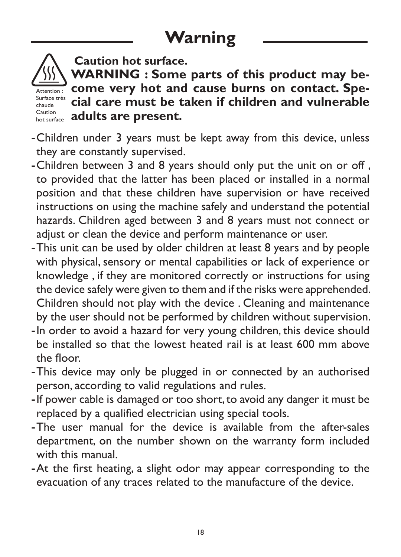# **Warning**



 **Caution hot surface.** 

**WARNING : Some parts of this product may become very hot and cause burns on contact. Special care must be taken if children and vulnerable**  Caution **adults are present.** Attention : Surface très chaude<br>Caution

- -Children under 3 years must be kept away from this device, unless they are constantly supervised.
- -Children between 3 and 8 years should only put the unit on or off , to provided that the latter has been placed or installed in a normal position and that these children have supervision or have received instructions on using the machine safely and understand the potential hazards. Children aged between 3 and 8 years must not connect or adjust or clean the device and perform maintenance or user.
- -This unit can be used by older children at least 8 years and by people with physical, sensory or mental capabilities or lack of experience or knowledge , if they are monitored correctly or instructions for using the device safely were given to them and if the risks were apprehended. Children should not play with the device . Cleaning and maintenance by the user should not be performed by children without supervision.
- -In order to avoid a hazard for very young children, this device should be installed so that the lowest heated rail is at least 600 mm above the floor.
- -This device may only be plugged in or connected by an authorised person, according to valid regulations and rules.
- -If power cable is damaged or too short, to avoid any danger it must be replaced by a qualified electrician using special tools.
- -The user manual for the device is available from the after-sales department, on the number shown on the warranty form included with this manual.
- -At the first heating, a slight odor may appear corresponding to the evacuation of any traces related to the manufacture of the device.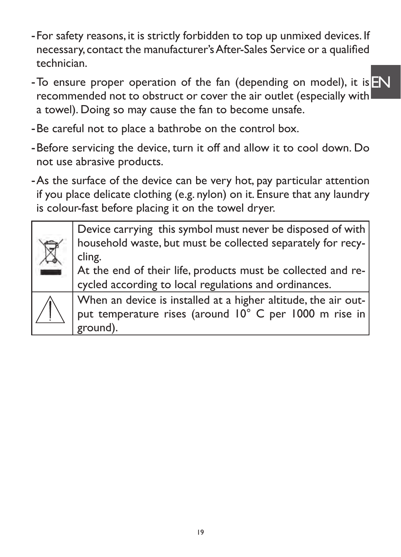- -For safety reasons, it is strictly forbidden to top up unmixed devices. If necessary, contact the manufacturer's After-Sales Service or a qualified technician.
- To ensure proper operation of the fan (depending on model), it is  $F_N$ recommended not to obstruct or cover the air outlet (especially with a towel). Doing so may cause the fan to become unsafe.
- -Be careful not to place a bathrobe on the control box.
- -Before servicing the device, turn it off and allow it to cool down. Do not use abrasive products.
- -As the surface of the device can be very hot, pay particular attention if you place delicate clothing (e.g. nylon) on it. Ensure that any laundry is colour-fast before placing it on the towel dryer.

Device carrying this symbol must never be disposed of with household waste, but must be collected separately for recycling. At the end of their life, products must be collected and re-

cycled according to local regulations and ordinances.

When an device is installed at a higher altitude, the air output temperature rises (around 10° C per 1000 m rise in ground).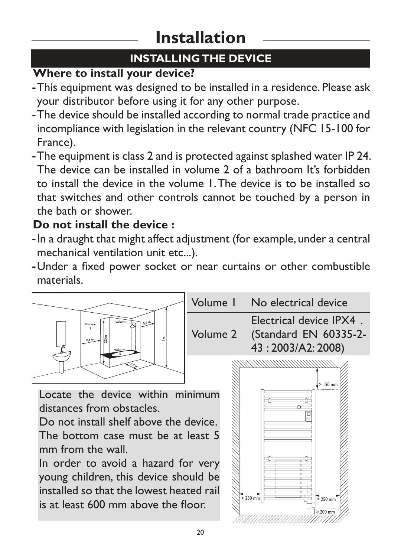# **Installation**

## **INSTALLING THE DEVICE**

## **Where to install your device?**

- -This equipment was designed to be installed in a residence. Please ask your distributor before using it for any other purpose.
- -The device should be installed according to normal trade practice and incompliance with legislation in the relevant country (NFC 15-100 for France).
- -The equipment is class 2 and is protected against splashed water IP 24. The device can be installed in volume 2 of a bathroom It's forbidden to install the device in the volume 1. The device is to be installed so that switches and other controls cannot be touched by a person in the bath or shower.

## **Do not install the device :**

- -In a draught that might affect adjustment (for example, under a central mechanical ventilation unit etc...).
- -Under a fixed power socket or near curtains or other combustible materials.



The bottom case must be at least 5 mm from the wall.

In order to avoid a hazard for very young children, this device should be installed so that the lowest heated rail is at least 600 mm above the floor.

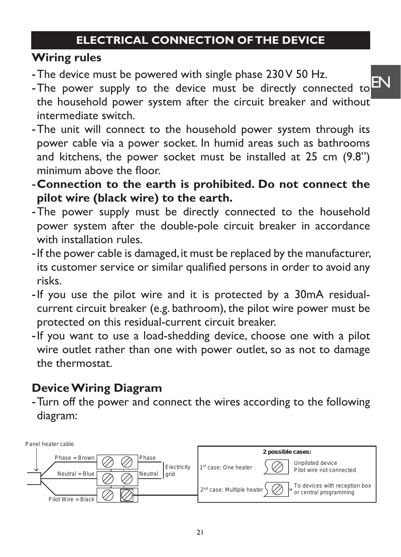## **ELECTRICAL CONNECTION OF THE DEVICE**

## **Wiring rules**

- -The device must be powered with single phase 230 V 50 Hz.
- -The device must be powered with single phase 250 v 50 FIZ.<br>-The power supply to the device must be directly connected to  $\text{EN}$ the household power system after the circuit breaker and without intermediate switch.
- -The unit will connect to the household power system through its power cable via a power socket. In humid areas such as bathrooms and kitchens, the power socket must be installed at 25 cm (9.8") minimum above the floor.
- -**Connection to the earth is prohibited. Do not connect the pilot wire (black wire) to the earth.**
- -The power supply must be directly connected to the household power system after the double-pole circuit breaker in accordance with installation rules.
- -If the power cable is damaged, it must be replaced by the manufacturer, its customer service or similar qualified persons in order to avoid any risks.
- -If you use the pilot wire and it is protected by a 30mA residualcurrent circuit breaker (e.g. bathroom), the pilot wire power must be protected on this residual-current circuit breaker.
- -If you want to use a load-shedding device, choose one with a pilot wire outlet rather than one with power outlet, so as not to damage the thermostat.

## **Device Wiring Diagram**

-Turn off the power and connect the wires according to the following diagram:

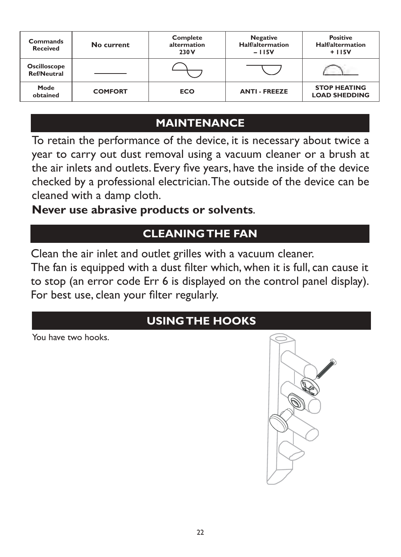| Commands<br><b>Received</b>               | No current     | <b>Complete</b><br>altermation<br>230 V | <b>Negative</b><br><b>Half/altermation</b><br>$-115V$ | <b>Positive</b><br><b>Half/altermation</b><br>$+115V$ |
|-------------------------------------------|----------------|-----------------------------------------|-------------------------------------------------------|-------------------------------------------------------|
| <b>Oscilloscope</b><br><b>Ref/Neutral</b> |                |                                         |                                                       |                                                       |
| Mode<br>obtained                          | <b>COMFORT</b> | <b>ECO</b>                              | <b>ANTI - FREEZE</b>                                  | <b>STOP HEATING</b><br><b>LOAD SHEDDING</b>           |

## **MAINTENANCE**

To retain the performance of the device, it is necessary about twice a year to carry out dust removal using a vacuum cleaner or a brush at the air inlets and outlets. Every five years, have the inside of the device checked by a professional electrician. The outside of the device can be cleaned with a damp cloth.

**Never use abrasive products or solvents.** 

## **CLEANING THE FAN**

Clean the air inlet and outlet grilles with a vacuum cleaner.

The fan is equipped with a dust filter which, when it is full, can cause it to stop (an error code Err 6 is displayed on the control panel display). For best use, clean your filter regularly.

## **USING THE HOOKS**

You have two hooks.

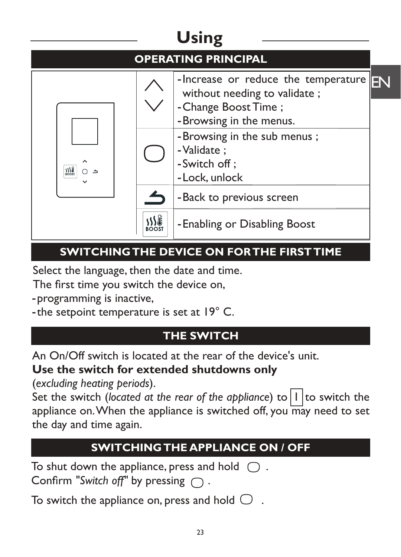# **Using**

|     | <b>OPERATING PRINCIPAL</b>                                                                                             |  |
|-----|------------------------------------------------------------------------------------------------------------------------|--|
|     | -Increase or reduce the temperature<br>without needing to validate;<br>- Change Boost Time;<br>-Browsing in the menus. |  |
| 355 | - Browsing in the sub menus;<br>- Validate ;<br>-Switch off;<br>- Lock, unlock                                         |  |
|     | - Back to previous screen                                                                                              |  |
|     | -Enabling or Disabling Boost                                                                                           |  |

## **SWITCHING THE DEVICE ON FOR THE FIRST TIME**

Select the language, then the date and time.

The first time you switch the device on,

-programming is inactive,

-the setpoint temperature is set at 19° C.

## **THE SWITCH**

An On/Off switch is located at the rear of the device's unit.

**Use the switch for extended shutdowns only**

(*excluding heating periods*).

Set the switch (*located at the rear of the appliance*) to  $|1|$  to switch the appliance on. When the appliance is switched off, you may need to set the day and time again.

## **SWITCHING THE APPLIANCE ON / OFF**

To shut down the appliance, press and hold  $\bigcirc$ . Confirm "Switch off" by pressing  $\bigcap$ .

To switch the appliance on, press and hold  $\bigcirc$ .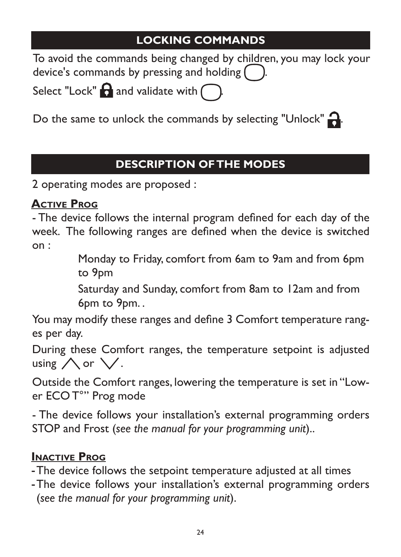## **LOCKING COMMANDS**

To avoid the commands being changed by children, you may lock your device's commands by pressing and holding (

Select "Lock"  $\bigcap$  and validate with  $\bigcap$ 

Do the same to unlock the commands by selecting "Unlock"

## **DESCRIPTION OF THE MODES**

2 operating modes are proposed :

### **Active Prog**

- The device follows the internal program defined for each day of the week. The following ranges are defined when the device is switched on :

Monday to Friday, comfort from 6am to 9am and from 6pm to 9pm

Saturday and Sunday, comfort from 8am to 12am and from 6pm to 9pm. .

You may modify these ranges and define 3 Comfort temperature ranges per day.

During these Comfort ranges, the temperature setpoint is adjusted using  $\bigwedge$  or  $\bigvee$ .

Outside the Comfort ranges, lowering the temperature is set in "Lower ECO T°" Prog mode

- The device follows your installation's external programming orders STOP and Frost (*see the manual for your programming unit*)..

### **Inactive Prog**

-The device follows the setpoint temperature adjusted at all times

-The device follows your installation's external programming orders (*see the manual for your programming unit*).

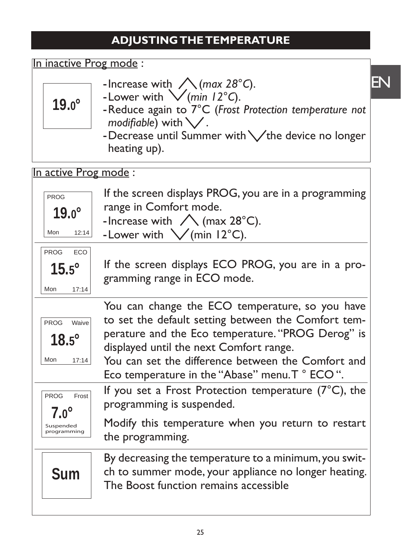## **ADJUSTING THE TEMPERATURE**

| In inactive Prog mode:                                    |                                                                                                                                                                                                                                                                                                                 |                              |
|-----------------------------------------------------------|-----------------------------------------------------------------------------------------------------------------------------------------------------------------------------------------------------------------------------------------------------------------------------------------------------------------|------------------------------|
| $19.0^\circ$                                              | -Increase with $\bigwedge$ (max 28°C).<br>-Lower with $\bigvee$ (min 12°C).<br>-Reduce again to 7°C (Frost Protection temperature not<br>modifiable) with $\bigvee$ .<br>-Decrease until Summer with $\sqrt{ }$ the device no longer<br>heating up).                                                            | $\mathsf{E}\!\!\!\mathsf{N}$ |
| In active Prog mode:                                      |                                                                                                                                                                                                                                                                                                                 |                              |
| <b>PROG</b><br>$19.0^\circ$<br>Mon<br>12:14               | If the screen displays PROG, you are in a programming<br>range in Comfort mode.<br>-Increase with $\bigwedge$ (max 28°C).<br>-Lower with $\sqrt{(min 12^{\circ}C)}$ .                                                                                                                                           |                              |
| <b>PROG</b><br><b>ECO</b><br>$15.5^\circ$<br>17:14<br>Mon | If the screen displays ECO PROG, you are in a pro-<br>gramming range in ECO mode.                                                                                                                                                                                                                               |                              |
| PROG Waive<br>$18.5^\circ$<br>Mon<br>17:14                | You can change the ECO temperature, so you have<br>to set the default setting between the Comfort tem-<br>perature and the Eco temperature. "PROG Derog" is<br>displayed until the next Comfort range.<br>You can set the difference between the Comfort and<br>Eco temperature in the "Abase" menu. T ° ECO ". |                              |
| <b>PROG</b><br>Frost<br>$7.0^\circ$                       | If you set a Frost Protection temperature $(7^{\circ}C)$ , the<br>programming is suspended.                                                                                                                                                                                                                     |                              |
| Suspended<br>programming                                  | Modify this temperature when you return to restart<br>the programming.                                                                                                                                                                                                                                          |                              |
| <b>Sum</b>                                                | By decreasing the temperature to a minimum, you swit-<br>ch to summer mode, your appliance no longer heating.<br>The Boost function remains accessible                                                                                                                                                          |                              |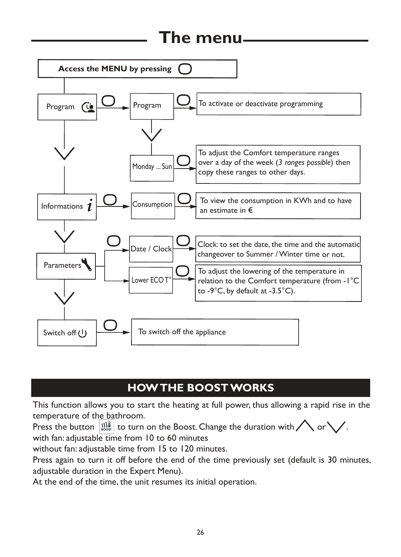## **The menu**



## **HOW THE BOOST WORKS**

This function allows you to start the heating at full power, thus allowing a rapid rise in the temperature of the bathroom.

Press the button  $\left|\frac{1}{2}\right|$  to turn on the Boost. Change the duration with  $\bigwedge$  or  $\bigvee$ . with fan: adjustable time from 10 to 60 minutes

without fan: adjustable time from 15 to 120 minutes.

Press again to turn it off before the end of the time previously set (default is 30 minutes, adjustable duration in the Expert Menu).

At the end of the time, the unit resumes its initial operation.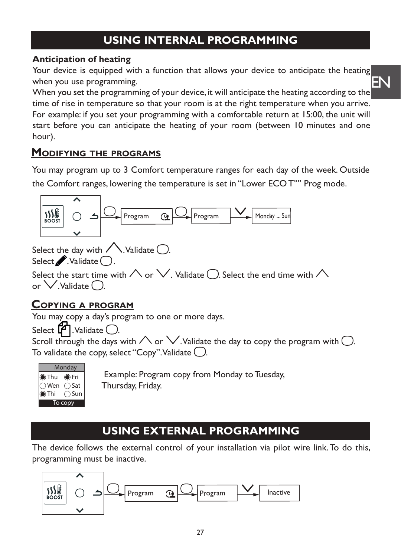## **USING INTERNAL PROGRAMMING**

#### **Anticipation of heating**

Your device is equipped with a function that allows your device to anticipate the heating when you use programming.

EN

When you set the programming of your device, it will anticipate the heating according to the time of rise in temperature so that your room is at the right temperature when you arrive. For example: if you set your programming with a comfortable return at 15:00, the unit will start before you can anticipate the heating of your room (between 10 minutes and one hour).

#### **Modifying the programs**

You may program up to 3 Comfort temperature ranges for each day of the week. Outside the Comfort ranges, lowering the temperature is set in "Lower ECO T°" Prog mode.



Select the day with  $\sqrt{\ }$ . Validate  $\bigcirc$ .

Select . Validate .

Select the start time with  $\wedge$  or  $\vee$ . Validate  $\bigcirc$ . Select the end time with  $\wedge$ or  $\vee$  Validate  $\bigcap$ 

#### **Copying a program**

You may copy a day's program to one or more days.

Select  $\mathbf{F}$ . Validate (

Scroll through the days with  $\wedge$  or  $\vee$ . Validate the day to copy the program with  $\bigcirc$ . To validate the copy, select "Copy". Validate  $\bigcirc$ .



 Example: Program copy from Monday to Tuesday, Thursday, Friday.

## **USING EXTERNAL PROGRAMMING**

The device follows the external control of your installation via pilot wire link. To do this, programming must be inactive.

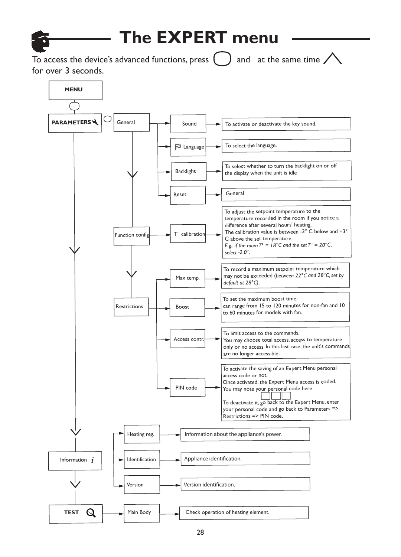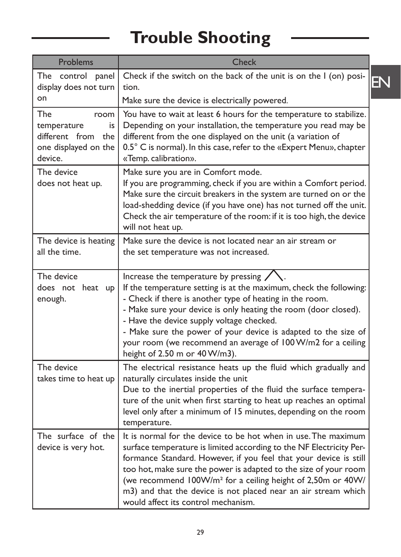# **Trouble Shooting**

| Problems                                                                                  | Check                                                                                                                                                                                                                                                                                                                                                                                                                                                              |    |
|-------------------------------------------------------------------------------------------|--------------------------------------------------------------------------------------------------------------------------------------------------------------------------------------------------------------------------------------------------------------------------------------------------------------------------------------------------------------------------------------------------------------------------------------------------------------------|----|
| The control panel<br>display does not turn                                                | Check if the switch on the back of the unit is on the I (on) posi-<br>tion.                                                                                                                                                                                                                                                                                                                                                                                        | EN |
| on                                                                                        | Make sure the device is electrically powered.                                                                                                                                                                                                                                                                                                                                                                                                                      |    |
| The<br>room<br>temperature<br>is<br>different from the<br>one displayed on the<br>device. | You have to wait at least 6 hours for the temperature to stabilize.<br>Depending on your installation, the temperature you read may be<br>different from the one displayed on the unit (a variation of<br>0.5° C is normal). In this case, refer to the «Expert Menu», chapter<br>«Temp. calibration».                                                                                                                                                             |    |
| The device<br>does not heat up.                                                           | Make sure you are in Comfort mode.<br>If you are programming, check if you are within a Comfort period.<br>Make sure the circuit breakers in the system are turned on or the<br>load-shedding device (if you have one) has not turned off the unit.<br>Check the air temperature of the room: if it is too high, the device<br>will not heat up.                                                                                                                   |    |
| The device is heating<br>all the time.                                                    | Make sure the device is not located near an air stream or<br>the set temperature was not increased.                                                                                                                                                                                                                                                                                                                                                                |    |
| The device<br>does not heat up<br>enough.                                                 | Increase the temperature by pressing<br>If the temperature setting is at the maximum, check the following:<br>- Check if there is another type of heating in the room.<br>- Make sure your device is only heating the room (door closed).<br>- Have the device supply voltage checked.<br>- Make sure the power of your device is adapted to the size of<br>your room (we recommend an average of 100 W/m2 for a ceiling<br>height of 2.50 m or 40 W/m3).          |    |
| The device<br>takes time to heat up                                                       | The electrical resistance heats up the fluid which gradually and<br>naturally circulates inside the unit<br>Due to the inertial properties of the fluid the surface tempera-<br>ture of the unit when first starting to heat up reaches an optimal<br>level only after a minimum of 15 minutes, depending on the room<br>temperature.                                                                                                                              |    |
| The surface of the<br>device is very hot.                                                 | It is normal for the device to be hot when in use. The maximum<br>surface temperature is limited according to the NF Electricity Per-<br>formance Standard. However, if you feel that your device is still<br>too hot, make sure the power is adapted to the size of your room<br>(we recommend 100W/m <sup>2</sup> for a ceiling height of 2,50m or 40W/<br>m3) and that the device is not placed near an air stream which<br>would affect its control mechanism. |    |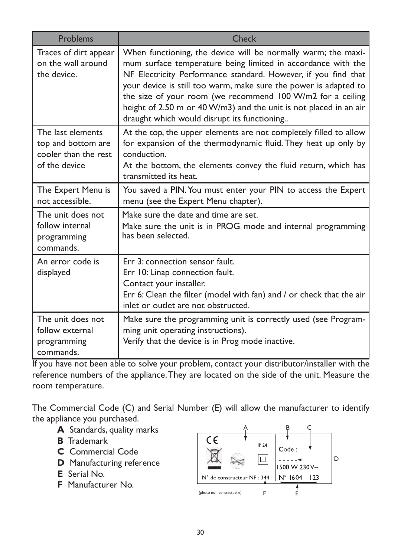| Problems                                                                         | Check                                                                                                                                                                                                                                                                                                                                                                                                                                                 |
|----------------------------------------------------------------------------------|-------------------------------------------------------------------------------------------------------------------------------------------------------------------------------------------------------------------------------------------------------------------------------------------------------------------------------------------------------------------------------------------------------------------------------------------------------|
| Traces of dirt appear<br>on the wall around<br>the device.                       | When functioning, the device will be normally warm; the maxi-<br>mum surface temperature being limited in accordance with the<br>NF Electricity Performance standard. However, if you find that<br>your device is still too warm, make sure the power is adapted to<br>the size of your room (we recommend 100 W/m2 for a ceiling<br>height of 2.50 m or 40 W/m3) and the unit is not placed in an air<br>draught which would disrupt its functioning |
| The last elements<br>top and bottom are<br>cooler than the rest<br>of the device | At the top, the upper elements are not completely filled to allow<br>for expansion of the thermodynamic fluid. They heat up only by<br>conduction.<br>At the bottom, the elements convey the fluid return, which has<br>transmitted its heat.                                                                                                                                                                                                         |
| The Expert Menu is<br>not accessible.                                            | You saved a PIN. You must enter your PIN to access the Expert<br>menu (see the Expert Menu chapter).                                                                                                                                                                                                                                                                                                                                                  |
| The unit does not<br>follow internal<br>programming<br>commands.                 | Make sure the date and time are set.<br>Make sure the unit is in PROG mode and internal programming<br>has been selected.                                                                                                                                                                                                                                                                                                                             |
| An error code is<br>displayed                                                    | Err 3: connection sensor fault.<br>Err 10: Linap connection fault.<br>Contact your installer.<br>Err 6: Clean the filter (model with fan) and / or check that the air<br>inlet or outlet are not obstructed.                                                                                                                                                                                                                                          |
| The unit does not<br>follow external<br>programming<br>commands.                 | Make sure the programming unit is correctly used (see Program-<br>ming unit operating instructions).<br>Verify that the device is in Prog mode inactive.                                                                                                                                                                                                                                                                                              |

If you have not been able to solve your problem, contact your distributor/installer with the reference numbers of the appliance. They are located on the side of the unit. Measure the room temperature.

The Commercial Code (C) and Serial Number (E) will allow the manufacturer to identify the appliance you purchased.

- **A** Standards, quality marks
- **B** Trademark
- **C** Commercial Code
- **D** Manufacturing reference
- **E** Serial No.
- **F** Manufacturer No.

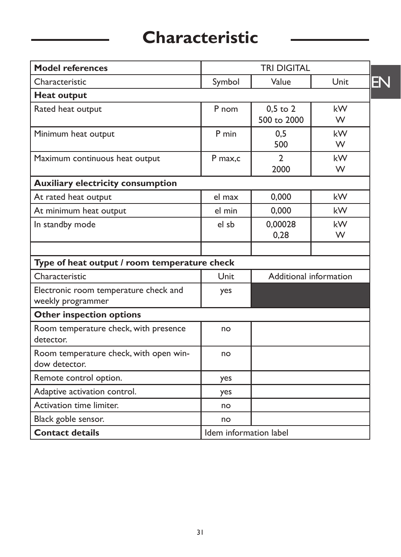# **Characteristic**

| <b>Model references</b>                                    | <b>TRI DIGITAL</b>     |                             |            |
|------------------------------------------------------------|------------------------|-----------------------------|------------|
| Characteristic                                             | Symbol                 | Value                       | EN<br>Unit |
| <b>Heat output</b>                                         |                        |                             |            |
| Rated heat output                                          | P nom                  | $0,5$ to $2$<br>500 to 2000 | kW<br>W    |
| Minimum heat output                                        | P min                  | 0.5<br>500                  | kW<br>W    |
| Maximum continuous heat output                             | P max,c                | $\mathfrak{D}$<br>2000      | kW<br>W    |
| <b>Auxiliary electricity consumption</b>                   |                        |                             |            |
| At rated heat output                                       | el max                 | 0,000                       | kW         |
| At minimum heat output                                     | el min                 | 0,000                       | kW         |
| In standby mode                                            | el sb                  | 0,00028<br>0,28             | kW<br>W    |
| Type of heat output / room temperature check               |                        |                             |            |
| Characteristic                                             | Unit                   | Additional information      |            |
| Electronic room temperature check and<br>weekly programmer | yes                    |                             |            |
| <b>Other inspection options</b>                            |                        |                             |            |
| Room temperature check, with presence<br>detector.         | no                     |                             |            |
| Room temperature check, with open win-<br>dow detector.    | no                     |                             |            |
| Remote control option.                                     | yes                    |                             |            |
| Adaptive activation control.                               | yes                    |                             |            |
| Activation time limiter.                                   | no                     |                             |            |
| Black goble sensor.                                        | no                     |                             |            |
| <b>Contact details</b>                                     | Idem information label |                             |            |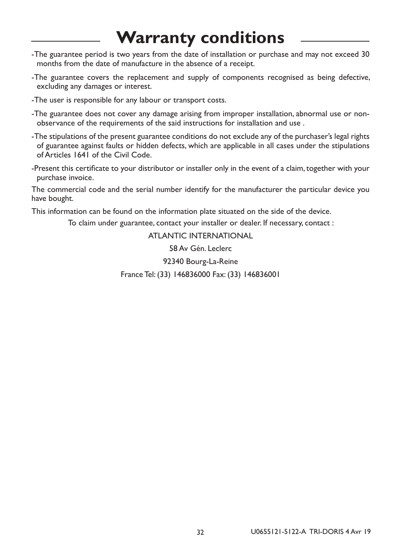## **Warranty conditions**

- -The guarantee period is two years from the date of installation or purchase and may not exceed 30 months from the date of manufacture in the absence of a receipt.
- -The guarantee covers the replacement and supply of components recognised as being defective, excluding any damages or interest.
- -The user is responsible for any labour or transport costs.
- -The guarantee does not cover any damage arising from improper installation, abnormal use or nonobservance of the requirements of the said instructions for installation and use .
- -The stipulations of the present guarantee conditions do not exclude any of the purchaser's legal rights of guarantee against faults or hidden defects, which are applicable in all cases under the stipulations of Articles 1641 of the Civil Code.
- -Present this certificate to your distributor or installer only in the event of a claim, together with your purchase invoice.

The commercial code and the serial number identify for the manufacturer the particular device you have bought.

This information can be found on the information plate situated on the side of the device.

To claim under guarantee, contact your installer or dealer. If necessary, contact :

ATLANTIC INTERNATIONAL

58 Av Gén. Leclerc

92340 Bourg-La-Reine

France Tel: (33) 146836000 Fax: (33) 146836001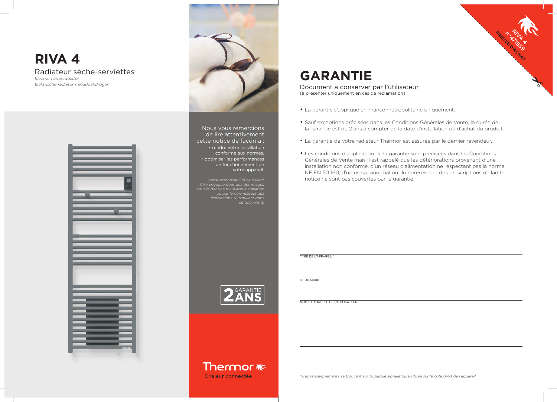

# **GARANTIE**

Document à conserver par l'utilisateur (à présenter uniquement en cas de réclamation)

- La garantie s'applique en France métropolitaine uniquement.
- Sauf exceptions précisées dans les Conditions Générales de Vente, la durée de la garantie est de 2 ans à compter de la date d'installation ou d'achat du produit.
- La garantie de votre radiateur Thermor est assurée par le dernier revendeur.
- Les conditions d'application de la garantie sont précisées dans les Conditions Générales de Vente mais il est rappelé que les détériorations provenant d'une installation non conforme, d'un réseau d'alimentation ne respectant pas la norme NF EN 50 160, d'un usage anormal ou du non-respect des prescriptions de ladite notice ne sont pas couvertes par la garantie.

TYPE DE L'APPAREIL \*

N° DE SÉRIE \*

NOM ET ADRESSE DE L'UTILISATEUR